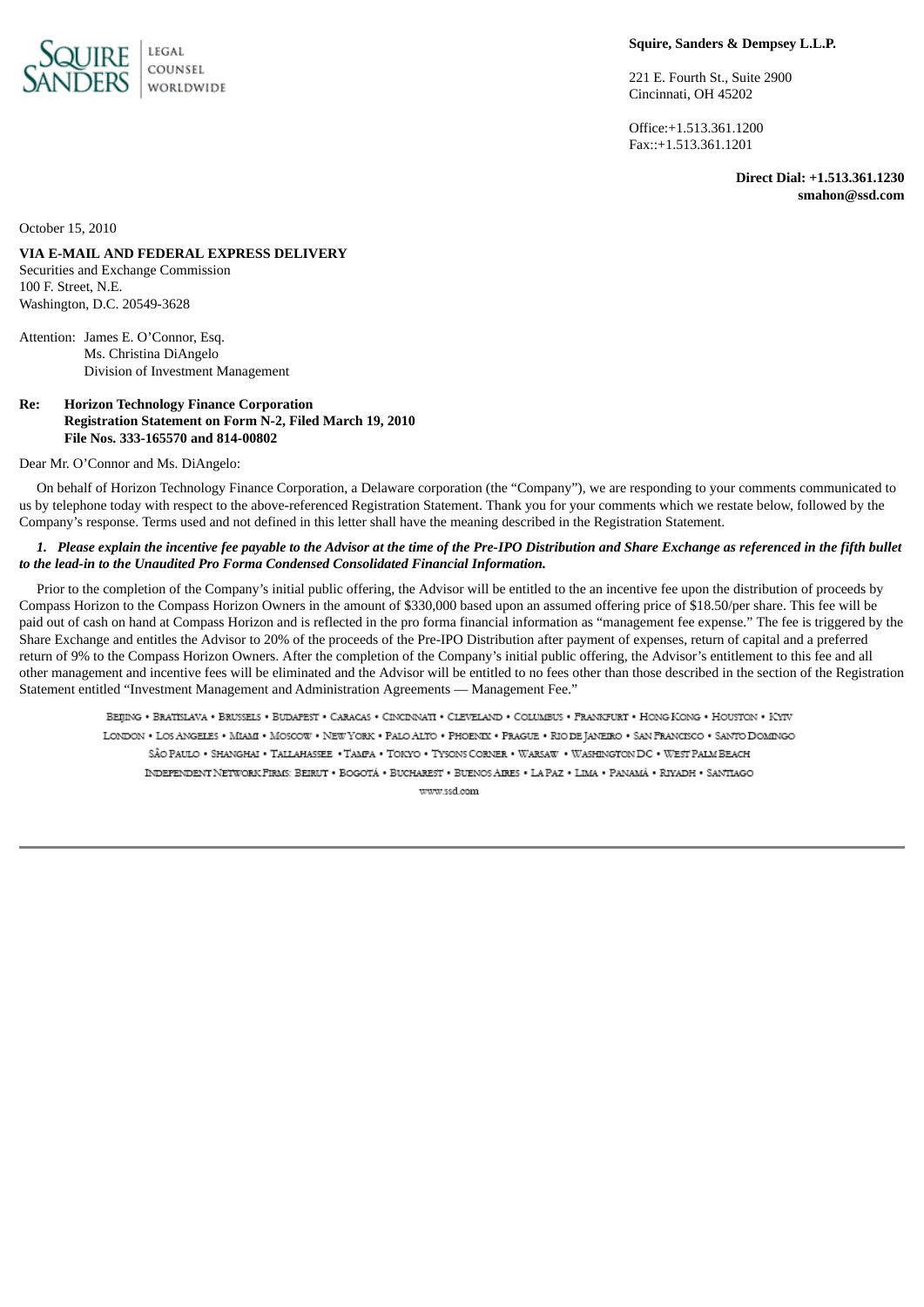

## **Squire, Sanders & Dempsey L.L.P.**

221 E. Fourth St., Suite 2900 Cincinnati, OH 45202

Office:+1.513.361.1200 Fax::+1.513.361.1201

> **Direct Dial: +1.513.361.1230 smahon@ssd.com**

October 15, 2010

**VIA E-MAIL AND FEDERAL EXPRESS DELIVERY** Securities and Exchange Commission

100 F. Street, N.E. Washington, D.C. 20549-3628

Attention: James E. O'Connor, Esq. Ms. Christina DiAngelo Division of Investment Management

### **Re: Horizon Technology Finance Corporation Registration Statement on Form N-2, Filed March 19, 2010 File Nos. 333-165570 and 814-00802**

Dear Mr. O'Connor and Ms. DiAngelo:

On behalf of Horizon Technology Finance Corporation, a Delaware corporation (the "Company"), we are responding to your comments communicated to us by telephone today with respect to the above-referenced Registration Statement. Thank you for your comments which we restate below, followed by the Company's response. Terms used and not defined in this letter shall have the meaning described in the Registration Statement.

# 1. Please explain the incentive fee payable to the Advisor at the time of the Pre-IPO Distribution and Share Exchange as referenced in the fifth bullet *to the lead-in to the Unaudited Pro Forma Condensed Consolidated Financial Information.*

Prior to the completion of the Company's initial public offering, the Advisor will be entitled to the an incentive fee upon the distribution of proceeds by Compass Horizon to the Compass Horizon Owners in the amount of \$330,000 based upon an assumed offering price of \$18.50/per share. This fee will be paid out of cash on hand at Compass Horizon and is reflected in the pro forma financial information as "management fee expense." The fee is triggered by the Share Exchange and entitles the Advisor to 20% of the proceeds of the Pre-IPO Distribution after payment of expenses, return of capital and a preferred return of 9% to the Compass Horizon Owners. After the completion of the Company's initial public offering, the Advisor's entitlement to this fee and all other management and incentive fees will be eliminated and the Advisor will be entitled to no fees other than those described in the section of the Registration Statement entitled "Investment Management and Administration Agreements — Management Fee."

BEIJING . BRATISLAVA . BRUSSELS . BUDAPEST . CARACAS . CINCINNATI . CLEVELAND . COLUMBUS . FRANKFURT . HONG KONG . HOUSTON . KYIV LONDON . LOS ANGELES . MIAMI . MOSCOW . NEW YORK . PALO ALTO . PHOENIX . PRAGUE . RIO DE JANEIRO . SAN FRANCISCO . SANTO DOMINGO SÃO PAULO . SHANGHAI . TALLAHASSEE . TAMPA . TOKYO . TYSONS CORNER . WARSAW . WASHINGTON DC . WEST PALM BEACH INDEPENDENT NETWORK FIRMS: BEIRUT . BOGOTÁ . BUCHAREST . BUENOS AIRES . LA PAZ . LIMA . PANAMÁ . RIYADH . SANTIAGO www.ssd.com